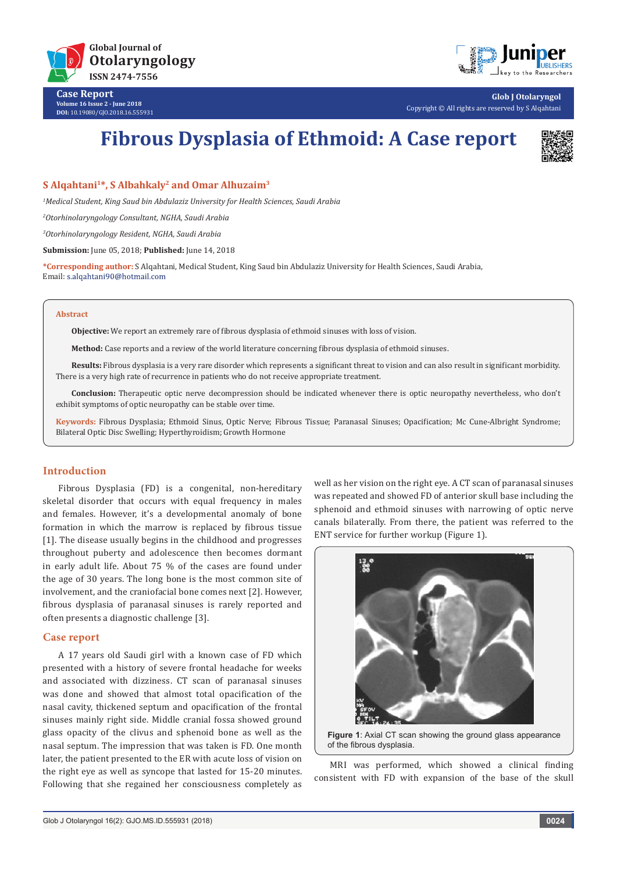

**Case Report Volume 16 Issue 2 - June 2018 DOI:** [10.19080/GJO.2018.16.555931](http://dx.doi.org/10.19080/GJO.2018.16.555931)



**Glob J Otolaryngol** Copyright © All rights are reserved by S Alqahtani

# **Fibrous Dysplasia of Ethmoid: A Case report**



## **S Alqahtani1\*, S Albahkaly2 and Omar Alhuzaim3**

*1 Medical Student, King Saud bin Abdulaziz University for Health Sciences, Saudi Arabia*

*2 Otorhinolaryngology Consultant, NGHA, Saudi Arabia*

*3 Otorhinolaryngology Resident, NGHA, Saudi Arabia*

**Submission:** June 05, 2018; **Published:** June 14, 2018

**\*Corresponding author:** S Alqahtani, Medical Student, King Saud bin Abdulaziz University for Health Sciences, Saudi Arabia, Email: s.alqahtani90@hotmail.com

#### **Abstract**

**Objective:** We report an extremely rare of fibrous dysplasia of ethmoid sinuses with loss of vision.

**Method:** Case reports and a review of the world literature concerning fibrous dysplasia of ethmoid sinuses.

**Results:** Fibrous dysplasia is a very rare disorder which represents a significant threat to vision and can also result in significant morbidity. There is a very high rate of recurrence in patients who do not receive appropriate treatment.

**Conclusion:** Therapeutic optic nerve decompression should be indicated whenever there is optic neuropathy nevertheless, who don't exhibit symptoms of optic neuropathy can be stable over time.

**Keywords:** Fibrous Dysplasia; Ethmoid Sinus, Optic Nerve; Fibrous Tissue; Paranasal Sinuses; Opacification; Mc Cune-Albright Syndrome; Bilateral Optic Disc Swelling; Hyperthyroidism; Growth Hormone

#### **Introduction**

Fibrous Dysplasia (FD) is a congenital, non-hereditary skeletal disorder that occurs with equal frequency in males and females. However, it's a developmental anomaly of bone formation in which the marrow is replaced by fibrous tissue [1]. The disease usually begins in the childhood and progresses throughout puberty and adolescence then becomes dormant in early adult life. About 75 % of the cases are found under the age of 30 years. The long bone is the most common site of involvement, and the craniofacial bone comes next [2]. However, fibrous dysplasia of paranasal sinuses is rarely reported and often presents a diagnostic challenge [3].

#### **Case report**

A 17 years old Saudi girl with a known case of FD which presented with a history of severe frontal headache for weeks and associated with dizziness. CT scan of paranasal sinuses was done and showed that almost total opacification of the nasal cavity, thickened septum and opacification of the frontal sinuses mainly right side. Middle cranial fossa showed ground glass opacity of the clivus and sphenoid bone as well as the nasal septum. The impression that was taken is FD. One month later, the patient presented to the ER with acute loss of vision on the right eye as well as syncope that lasted for 15-20 minutes. Following that she regained her consciousness completely as well as her vision on the right eye. A CT scan of paranasal sinuses was repeated and showed FD of anterior skull base including the sphenoid and ethmoid sinuses with narrowing of optic nerve canals bilaterally. From there, the patient was referred to the ENT service for further workup (Figure 1).



**Figure 1**: Axial CT scan showing the ground glass appearance of the fibrous dysplasia.

MRI was performed, which showed a clinical finding consistent with FD with expansion of the base of the skull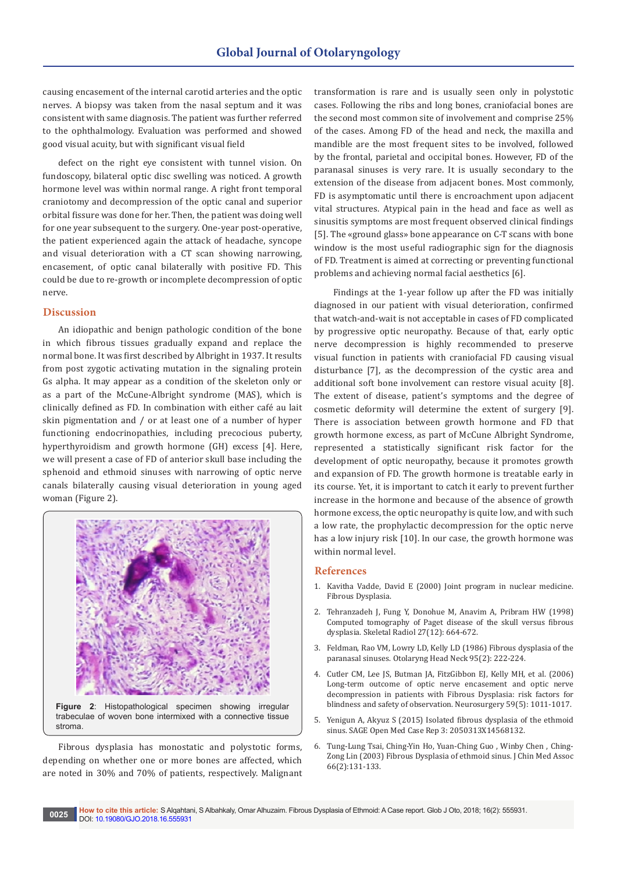causing encasement of the internal carotid arteries and the optic nerves. A biopsy was taken from the nasal septum and it was consistent with same diagnosis. The patient was further referred to the ophthalmology. Evaluation was performed and showed good visual acuity, but with significant visual field

defect on the right eye consistent with tunnel vision. On fundoscopy, bilateral optic disc swelling was noticed. A growth hormone level was within normal range. A right front temporal craniotomy and decompression of the optic canal and superior orbital fissure was done for her. Then, the patient was doing well for one year subsequent to the surgery. One-year post-operative, the patient experienced again the attack of headache, syncope and visual deterioration with a CT scan showing narrowing, encasement, of optic canal bilaterally with positive FD. This could be due to re-growth or incomplete decompression of optic nerve.

### **Discussion**

An idiopathic and benign pathologic condition of the bone in which fibrous tissues gradually expand and replace the normal bone. It was first described by Albright in 1937. It results from post zygotic activating mutation in the signaling protein Gs alpha. It may appear as a condition of the skeleton only or as a part of the McCune-Albright syndrome (MAS), which is clinically defined as FD. In combination with either café au lait skin pigmentation and / or at least one of a number of hyper functioning endocrinopathies, including precocious puberty, hyperthyroidism and growth hormone (GH) excess [4]. Here, we will present a case of FD of anterior skull base including the sphenoid and ethmoid sinuses with narrowing of optic nerve canals bilaterally causing visual deterioration in young aged woman (Figure 2).



Fibrous dysplasia has monostatic and polystotic forms, depending on whether one or more bones are affected, which are noted in 30% and 70% of patients, respectively. Malignant transformation is rare and is usually seen only in polystotic cases. Following the ribs and long bones, craniofacial bones are the second most common site of involvement and comprise 25% of the cases. Among FD of the head and neck, the maxilla and mandible are the most frequent sites to be involved, followed by the frontal, parietal and occipital bones. However, FD of the paranasal sinuses is very rare. It is usually secondary to the extension of the disease from adjacent bones. Most commonly, FD is asymptomatic until there is encroachment upon adjacent vital structures. Atypical pain in the head and face as well as sinusitis symptoms are most frequent observed clinical findings [5]. The «ground glass» bone appearance on C-T scans with bone window is the most useful radiographic sign for the diagnosis of FD. Treatment is aimed at correcting or preventing functional problems and achieving normal facial aesthetics [6].

 Findings at the 1-year follow up after the FD was initially diagnosed in our patient with visual deterioration, confirmed that watch-and-wait is not acceptable in cases of FD complicated by progressive optic neuropathy. Because of that, early optic nerve decompression is highly recommended to preserve visual function in patients with craniofacial FD causing visual disturbance [7], as the decompression of the cystic area and additional soft bone involvement can restore visual acuity [8]. The extent of disease, patient's symptoms and the degree of cosmetic deformity will determine the extent of surgery [9]. There is association between growth hormone and FD that growth hormone excess, as part of McCune Albright Syndrome, represented a statistically significant risk factor for the development of optic neuropathy, because it promotes growth and expansion of FD. The growth hormone is treatable early in its course. Yet, it is important to catch it early to prevent further increase in the hormone and because of the absence of growth hormone excess, the optic neuropathy is quite low, and with such a low rate, the prophylactic decompression for the optic nerve has a low injury risk [10]. In our case, the growth hormone was within normal level.

#### **References**

- 1. [Kavitha Vadde, David E \(2000\) Joint program in nuclear medicine.](http://www.med.harvard.edu/jpnm/tf99_00/april18/WriteUp.html)  [Fibrous Dysplasia.](http://www.med.harvard.edu/jpnm/tf99_00/april18/WriteUp.html)
- 2. [Tehranzadeh J, Fung Y, Donohue M, Anavim A, Pribram HW \(1998\)](https://link.springer.com/article/10.1007/s002560050456)  [Computed tomography of Paget disease of the skull versus fibrous](https://link.springer.com/article/10.1007/s002560050456)  [dysplasia. Skeletal Radiol 27\(12\): 664-672.](https://link.springer.com/article/10.1007/s002560050456)
- 3. [Feldman, Rao VM, Lowry LD, Kelly LD \(1986\) Fibrous dysplasia of the](https://www.ncbi.nlm.nih.gov/pubmed/3108764)  [paranasal sinuses. Otolaryng Head Neck 95\(2\): 222-224.](https://www.ncbi.nlm.nih.gov/pubmed/3108764)
- 4. [Cutler CM, Lee JS, Butman JA, FitzGibbon EJ, Kelly MH, et al. \(2006\)](https://www.ncbi.nlm.nih.gov/pubmed/17143235)  [Long-term outcome of optic nerve encasement and optic nerve](https://www.ncbi.nlm.nih.gov/pubmed/17143235)  [decompression in patients with Fibrous Dysplasia: risk factors for](https://www.ncbi.nlm.nih.gov/pubmed/17143235)  [blindness and safety of observation. Neurosurgery 59\(5\): 1011-1017.](https://www.ncbi.nlm.nih.gov/pubmed/17143235)
- 5. [Yenigun A, Akyuz S \(2015\) Isolated fibrous dysplasia of the ethmoid](https://www.ncbi.nlm.nih.gov/pmc/articles/PMC4857318/)  [sinus. SAGE Open Med Case Rep 3: 2050313X14568132.](https://www.ncbi.nlm.nih.gov/pmc/articles/PMC4857318/)
- 6. [Tung-Lung Tsai, Ching-Yin Ho, Yuan-Ching Guo , Winby Chen , Ching-](https://www.ncbi.nlm.nih.gov/pubmed/12716014)[Zong Lin \(2003\) Fibrous Dysplasia of ethmoid sinus. J Chin Med Assoc](https://www.ncbi.nlm.nih.gov/pubmed/12716014)  [66\(2\):131-133.](https://www.ncbi.nlm.nih.gov/pubmed/12716014)